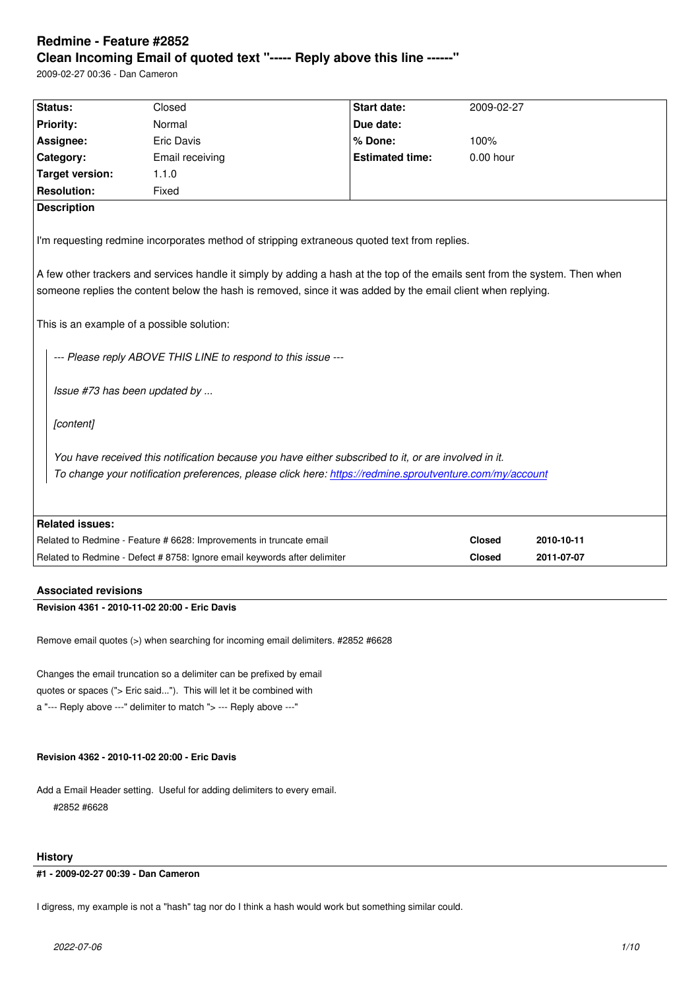#### **Clean Incoming Email of quoted text "----- Reply above this line ------"**

2009-02-27 00:36 - Dan Cameron

| Status:                                                                                                                                                                                                                                                                                                                                                                                                                                                                                                   | Closed                                                                    | <b>Start date:</b>     | 2009-02-27    |            |  |  |
|-----------------------------------------------------------------------------------------------------------------------------------------------------------------------------------------------------------------------------------------------------------------------------------------------------------------------------------------------------------------------------------------------------------------------------------------------------------------------------------------------------------|---------------------------------------------------------------------------|------------------------|---------------|------------|--|--|
| <b>Priority:</b>                                                                                                                                                                                                                                                                                                                                                                                                                                                                                          | Normal                                                                    | Due date:              |               |            |  |  |
| Assignee:                                                                                                                                                                                                                                                                                                                                                                                                                                                                                                 | <b>Eric Davis</b>                                                         | % Done:                | 100%          |            |  |  |
| Category:                                                                                                                                                                                                                                                                                                                                                                                                                                                                                                 | Email receiving                                                           | <b>Estimated time:</b> | 0.00 hour     |            |  |  |
| <b>Target version:</b>                                                                                                                                                                                                                                                                                                                                                                                                                                                                                    | 1.1.0                                                                     |                        |               |            |  |  |
| <b>Resolution:</b>                                                                                                                                                                                                                                                                                                                                                                                                                                                                                        | Fixed                                                                     |                        |               |            |  |  |
| <b>Description</b>                                                                                                                                                                                                                                                                                                                                                                                                                                                                                        |                                                                           |                        |               |            |  |  |
| I'm requesting redmine incorporates method of stripping extraneous quoted text from replies.<br>A few other trackers and services handle it simply by adding a hash at the top of the emails sent from the system. Then when<br>someone replies the content below the hash is removed, since it was added by the email client when replying.<br>This is an example of a possible solution:<br>--- Please reply ABOVE THIS LINE to respond to this issue ---<br>Issue #73 has been updated by<br>[content] |                                                                           |                        |               |            |  |  |
| You have received this notification because you have either subscribed to it, or are involved in it.                                                                                                                                                                                                                                                                                                                                                                                                      |                                                                           |                        |               |            |  |  |
| To change your notification preferences, please click here: https://redmine.sproutventure.com/my/account                                                                                                                                                                                                                                                                                                                                                                                                  |                                                                           |                        |               |            |  |  |
| <b>Related issues:</b>                                                                                                                                                                                                                                                                                                                                                                                                                                                                                    |                                                                           |                        |               |            |  |  |
| Related to Redmine - Feature # 6628: Improvements in truncate email                                                                                                                                                                                                                                                                                                                                                                                                                                       |                                                                           |                        | <b>Closed</b> | 2010-10-11 |  |  |
|                                                                                                                                                                                                                                                                                                                                                                                                                                                                                                           | Related to Redmine - Defect # 8758: Ignore email keywords after delimiter |                        | Closed        | 2011-07-07 |  |  |

# **Associated revisions**

# **Revision 4361 - 2010-11-02 20:00 - Eric Davis**

Remove email quotes (>) when searching for incoming email delimiters. #2852 #6628

Changes the email truncation so a delimiter can be prefixed by email quotes or spaces ("> Eric said..."). This will let it be combined with a "--- Reply above ---" delimiter to match "> --- Reply above ---"

# **Revision 4362 - 2010-11-02 20:00 - Eric Davis**

Add a Email Header setting. Useful for adding delimiters to every email. #2852 #6628

# **History**

# **#1 - 2009-02-27 00:39 - Dan Cameron**

I digress, my example is not a "hash" tag nor do I think a hash would work but something similar could.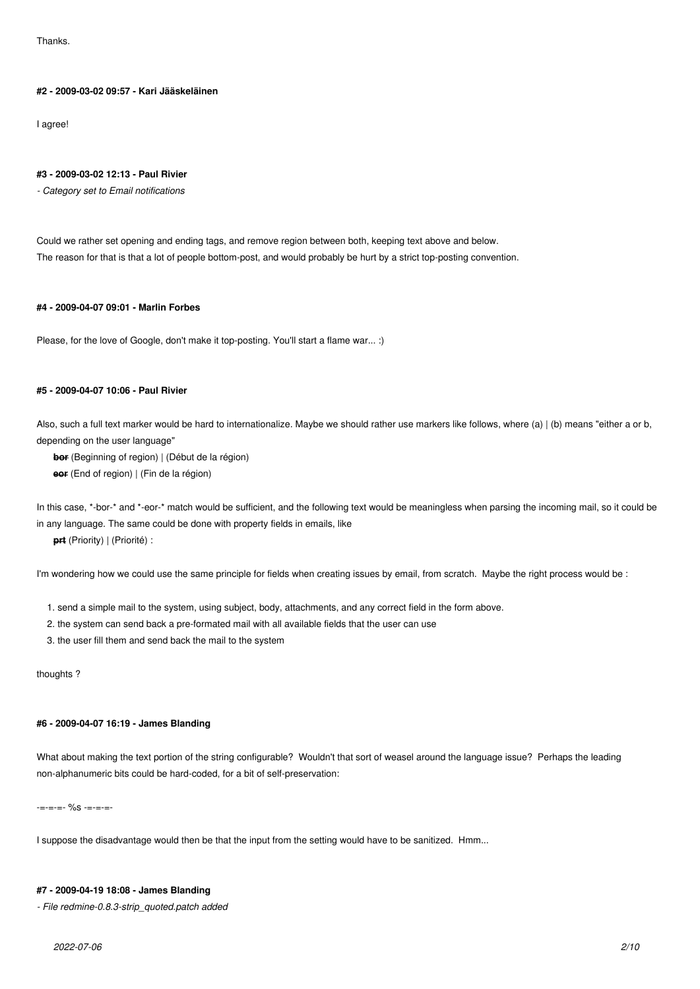**Thanks** 

# **#2 - 2009-03-02 09:57 - Kari Jääskeläinen**

I agree!

#### **#3 - 2009-03-02 12:13 - Paul Rivier**

*- Category set to Email notifications*

Could we rather set opening and ending tags, and remove region between both, keeping text above and below. The reason for that is that a lot of people bottom-post, and would probably be hurt by a strict top-posting convention.

#### **#4 - 2009-04-07 09:01 - Marlin Forbes**

Please, for the love of Google, don't make it top-posting. You'll start a flame war... :)

### **#5 - 2009-04-07 10:06 - Paul Rivier**

Also, such a full text marker would be hard to internationalize. Maybe we should rather use markers like follows, where (a) | (b) means "either a or b, depending on the user language"

**bor** (Beginning of region) | (Début de la région)

**eor** (End of region) | (Fin de la région)

In this case, \*-bor-\* and \*-eor-\* match would be sufficient, and the following text would be meaningless when parsing the incoming mail, so it could be in any language. The same could be done with property fields in emails, like

**prt** (Priority) | (Priorité) :

I'm wondering how we could use the same principle for fields when creating issues by email, from scratch. Maybe the right process would be :

- 1. send a simple mail to the system, using subject, body, attachments, and any correct field in the form above.
- 2. the system can send back a pre-formated mail with all available fields that the user can use
- 3. the user fill them and send back the mail to the system

thoughts ?

# **#6 - 2009-04-07 16:19 - James Blanding**

What about making the text portion of the string configurable? Wouldn't that sort of weasel around the language issue? Perhaps the leading non-alphanumeric bits could be hard-coded, for a bit of self-preservation:

-=-=-=- %s -=-=-=-

I suppose the disadvantage would then be that the input from the setting would have to be sanitized. Hmm...

#### **#7 - 2009-04-19 18:08 - James Blanding**

*- File redmine-0.8.3-strip\_quoted.patch added*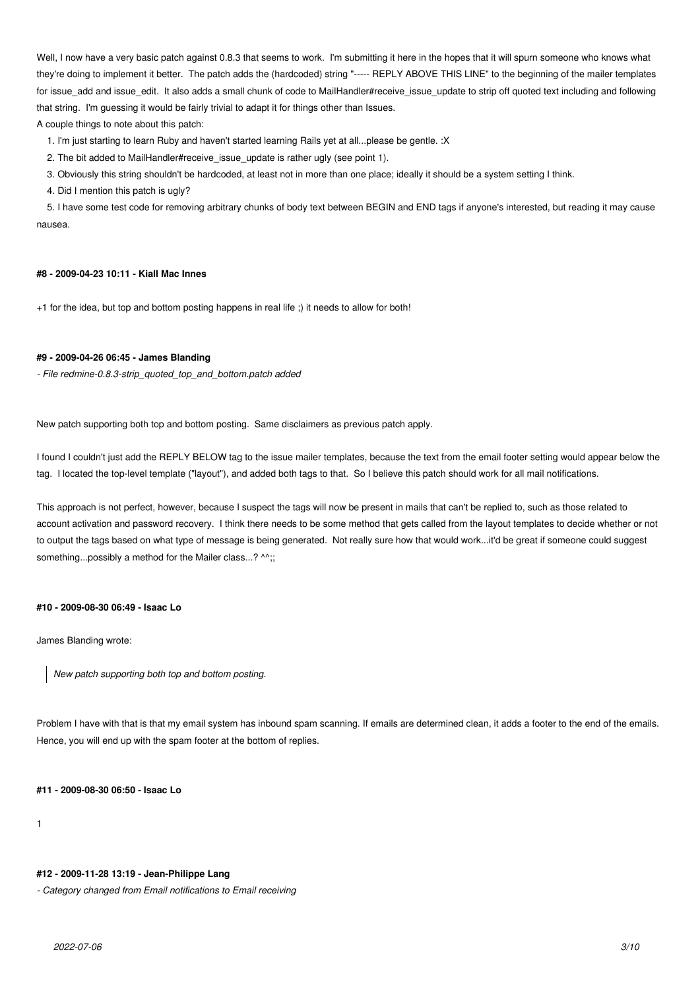Well, I now have a very basic patch against 0.8.3 that seems to work. I'm submitting it here in the hopes that it will spurn someone who knows what they're doing to implement it better. The patch adds the (hardcoded) string "----- REPLY ABOVE THIS LINE" to the beginning of the mailer templates for issue\_add and issue\_edit. It also adds a small chunk of code to MailHandler#receive\_issue\_update to strip off quoted text including and following that string. I'm guessing it would be fairly trivial to adapt it for things other than Issues.

A couple things to note about this patch:

1. I'm just starting to learn Ruby and haven't started learning Rails yet at all...please be gentle. :X

2. The bit added to MailHandler#receive\_issue\_update is rather ugly (see point 1).

3. Obviously this string shouldn't be hardcoded, at least not in more than one place; ideally it should be a system setting I think.

4. Did I mention this patch is ugly?

 5. I have some test code for removing arbitrary chunks of body text between BEGIN and END tags if anyone's interested, but reading it may cause nausea.

#### **#8 - 2009-04-23 10:11 - Kiall Mac Innes**

+1 for the idea, but top and bottom posting happens in real life ;) it needs to allow for both!

### **#9 - 2009-04-26 06:45 - James Blanding**

*- File redmine-0.8.3-strip\_quoted\_top\_and\_bottom.patch added*

New patch supporting both top and bottom posting. Same disclaimers as previous patch apply.

I found I couldn't just add the REPLY BELOW tag to the issue mailer templates, because the text from the email footer setting would appear below the tag. I located the top-level template ("layout"), and added both tags to that. So I believe this patch should work for all mail notifications.

This approach is not perfect, however, because I suspect the tags will now be present in mails that can't be replied to, such as those related to account activation and password recovery. I think there needs to be some method that gets called from the layout templates to decide whether or not to output the tags based on what type of message is being generated. Not really sure how that would work...it'd be great if someone could suggest something...possibly a method for the Mailer class...? ^^;;

### **#10 - 2009-08-30 06:49 - Isaac Lo**

James Blanding wrote:

*New patch supporting both top and bottom posting.*

Problem I have with that is that my email system has inbound spam scanning. If emails are determined clean, it adds a footer to the end of the emails. Hence, you will end up with the spam footer at the bottom of replies.

**#11 - 2009-08-30 06:50 - Isaac Lo**

1

#### **#12 - 2009-11-28 13:19 - Jean-Philippe Lang**

*- Category changed from Email notifications to Email receiving*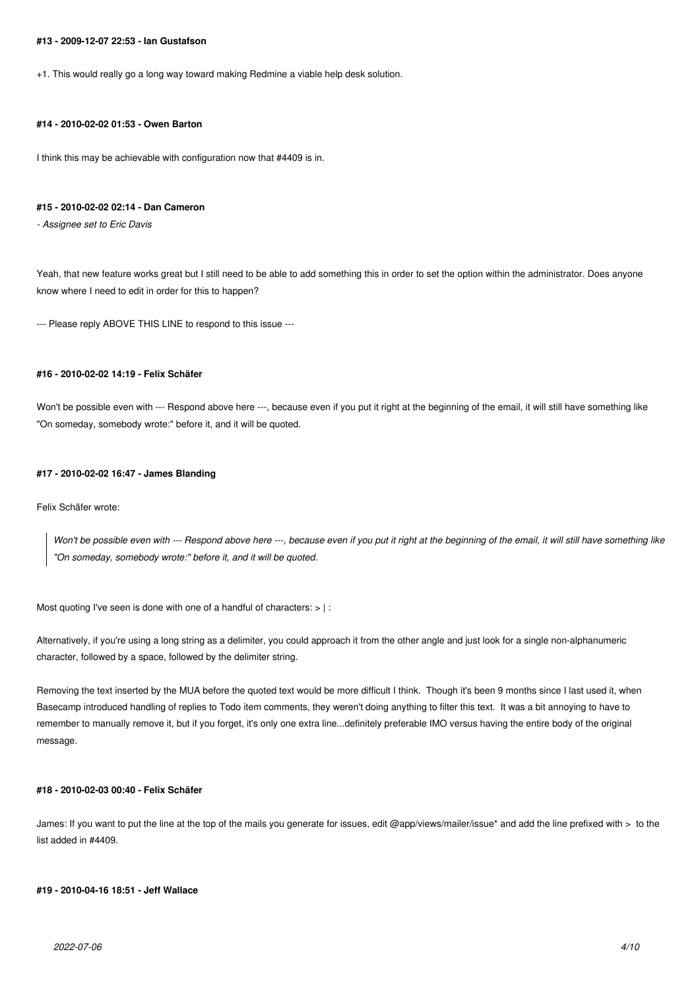#### **#13 - 2009-12-07 22:53 - Ian Gustafson**

+1. This would really go a long way toward making Redmine a viable help desk solution.

# **#14 - 2010-02-02 01:53 - Owen Barton**

I think this may be achievable with configuration now that #4409 is in.

### **#15 - 2010-02-02 02:14 - Dan Cameron**

*- Assignee set to Eric Davis*

Yeah, that new feature works great but I still need to be able to add something this in order to set the option within the administrator. Does anyone know where I need to edit in order for this to happen?

--- Please reply ABOVE THIS LINE to respond to this issue ---

### **#16 - 2010-02-02 14:19 - Felix Schäfer**

Won't be possible even with --- Respond above here ---, because even if you put it right at the beginning of the email, it will still have something like "On someday, somebody wrote:" before it, and it will be quoted.

#### **#17 - 2010-02-02 16:47 - James Blanding**

Felix Schäfer wrote:

*Won't be possible even with --- Respond above here ---, because even if you put it right at the beginning of the email, it will still have something like "On someday, somebody wrote:" before it, and it will be quoted.*

Most quoting I've seen is done with one of a handful of characters:  $>$  | :

Alternatively, if you're using a long string as a delimiter, you could approach it from the other angle and just look for a single non-alphanumeric character, followed by a space, followed by the delimiter string.

Removing the text inserted by the MUA before the quoted text would be more difficult I think. Though it's been 9 months since I last used it, when Basecamp introduced handling of replies to Todo item comments, they weren't doing anything to filter this text. It was a bit annoying to have to remember to manually remove it, but if you forget, it's only one extra line...definitely preferable IMO versus having the entire body of the original message.

### **#18 - 2010-02-03 00:40 - Felix Schäfer**

James: If you want to put the line at the top of the mails you generate for issues, edit @app/views/mailer/issue\* and add the line prefixed with > to the list added in #4409.

#### **#19 - 2010-04-16 18:51 - Jeff Wallace**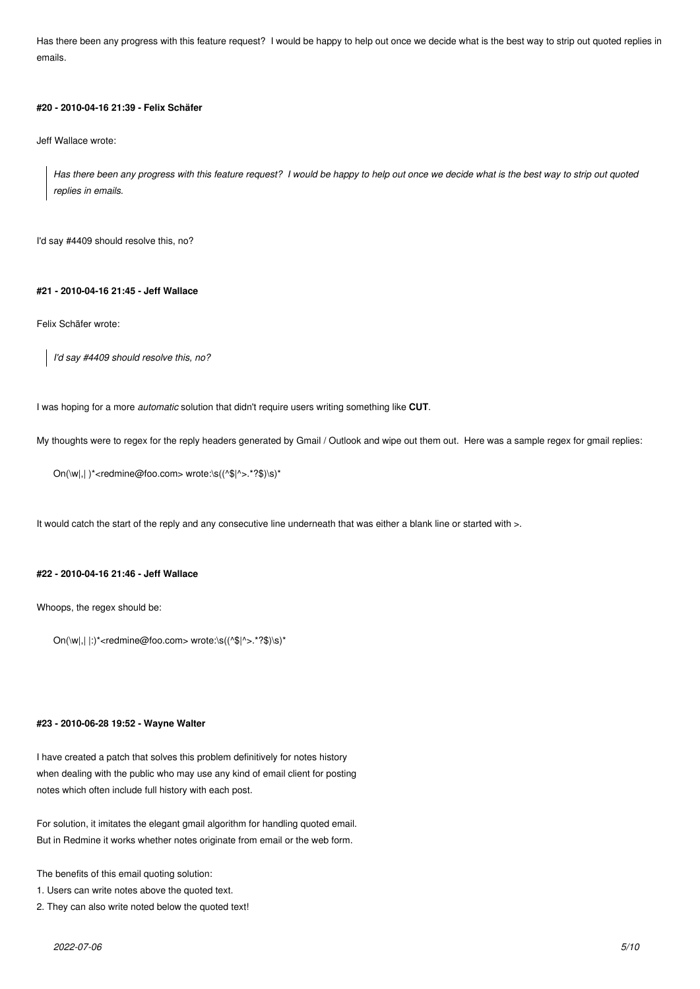Has there been any progress with this feature request? I would be happy to help out once we decide what is the best way to strip out quoted replies in emails.

#### **#20 - 2010-04-16 21:39 - Felix Schäfer**

Jeff Wallace wrote:

*Has there been any progress with this feature request? I would be happy to help out once we decide what is the best way to strip out quoted replies in emails.*

I'd say #4409 should resolve this, no?

# **#21 - 2010-04-16 21:45 - Jeff Wallace**

Felix Schäfer wrote:

*I'd say #4409 should resolve this, no?*

I was hoping for a more *automatic* solution that didn't require users writing something like **CUT**.

My thoughts were to regex for the reply headers generated by Gmail / Outlook and wipe out them out. Here was a sample regex for gmail replies:

On(\w|,| )\*<redmine@foo.com> wrote:\s((^\$|^>.\*?\$)\s)\*

It would catch the start of the reply and any consecutive line underneath that was either a blank line or started with >.

### **#22 - 2010-04-16 21:46 - Jeff Wallace**

Whoops, the regex should be:

 $On(\wedge w), |:$ ' \*<redmine@foo.com> wrote:\s((^\$|^>.\*?\$)\s)\*

#### **#23 - 2010-06-28 19:52 - Wayne Walter**

I have created a patch that solves this problem definitively for notes history when dealing with the public who may use any kind of email client for posting notes which often include full history with each post.

For solution, it imitates the elegant gmail algorithm for handling quoted email. But in Redmine it works whether notes originate from email or the web form.

The benefits of this email quoting solution:

- 1. Users can write notes above the quoted text.
- 2. They can also write noted below the quoted text!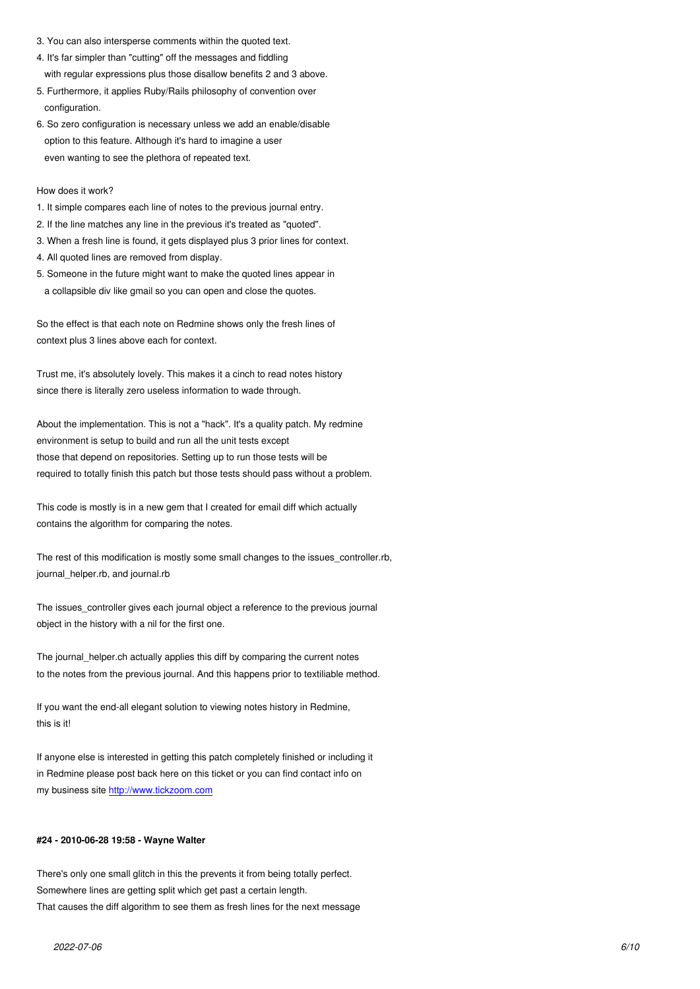- 4. It's far simpler than "cutting" off the messages and fiddling with regular expressions plus those disallow benefits 2 and 3 above.
- 5. Furthermore, it applies Ruby/Rails philosophy of convention over configuration.
- 6. So zero configuration is necessary unless we add an enable/disable option to this feature. Although it's hard to imagine a user even wanting to see the plethora of repeated text.

How does it work?

- 1. It simple compares each line of notes to the previous journal entry.
- 2. If the line matches any line in the previous it's treated as "quoted".
- 3. When a fresh line is found, it gets displayed plus 3 prior lines for context.
- 4. All quoted lines are removed from display.
- 5. Someone in the future might want to make the quoted lines appear in a collapsible div like gmail so you can open and close the quotes.

So the effect is that each note on Redmine shows only the fresh lines of context plus 3 lines above each for context.

Trust me, it's absolutely lovely. This makes it a cinch to read notes history since there is literally zero useless information to wade through.

About the implementation. This is not a "hack". It's a quality patch. My redmine environment is setup to build and run all the unit tests except those that depend on repositories. Setting up to run those tests will be required to totally finish this patch but those tests should pass without a problem.

This code is mostly is in a new gem that I created for email diff which actually contains the algorithm for comparing the notes.

The rest of this modification is mostly some small changes to the issues\_controller.rb, journal\_helper.rb, and journal.rb

The issues\_controller gives each journal object a reference to the previous journal object in the history with a nil for the first one.

The journal\_helper.ch actually applies this diff by comparing the current notes to the notes from the previous journal. And this happens prior to textiliable method.

If you want the end-all elegant solution to viewing notes history in Redmine, this is it!

If anyone else is interested in getting this patch completely finished or including it in Redmine please post back here on this ticket or you can find contact info on my business site http://www.tickzoom.com

### **#24 - 2010-06-28 [19:58 - Wayne Walter](http://www.tickzoom.com)**

There's only one small glitch in this the prevents it from being totally perfect. Somewhere lines are getting split which get past a certain length. That causes the diff algorithm to see them as fresh lines for the next message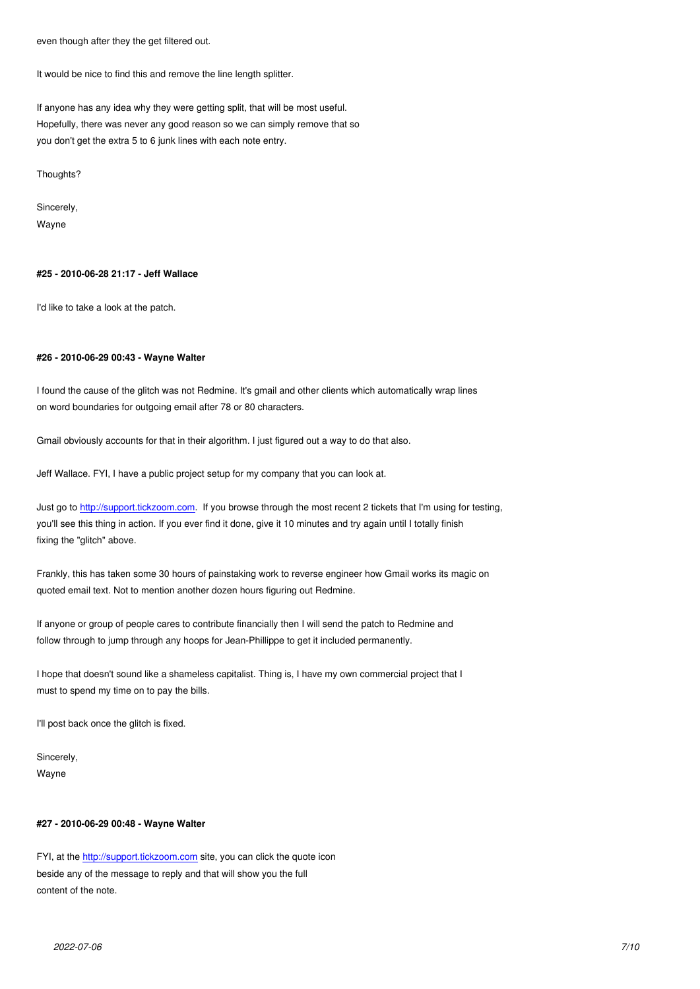It would be nice to find this and remove the line length splitter.

If anyone has any idea why they were getting split, that will be most useful. Hopefully, there was never any good reason so we can simply remove that so you don't get the extra 5 to 6 junk lines with each note entry.

Thoughts?

Sincerely,

Wayne

### **#25 - 2010-06-28 21:17 - Jeff Wallace**

I'd like to take a look at the patch.

#### **#26 - 2010-06-29 00:43 - Wayne Walter**

I found the cause of the glitch was not Redmine. It's gmail and other clients which automatically wrap lines on word boundaries for outgoing email after 78 or 80 characters.

Gmail obviously accounts for that in their algorithm. I just figured out a way to do that also.

Jeff Wallace. FYI, I have a public project setup for my company that you can look at.

Just go to http://support.tickzoom.com. If you browse through the most recent 2 tickets that I'm using for testing, you'll see this thing in action. If you ever find it done, give it 10 minutes and try again until I totally finish fixing the "glitch" above.

Frankly, t[his has taken some 30 hours](http://support.tickzoom.com) of painstaking work to reverse engineer how Gmail works its magic on quoted email text. Not to mention another dozen hours figuring out Redmine.

If anyone or group of people cares to contribute financially then I will send the patch to Redmine and follow through to jump through any hoops for Jean-Phillippe to get it included permanently.

I hope that doesn't sound like a shameless capitalist. Thing is, I have my own commercial project that I must to spend my time on to pay the bills.

I'll post back once the glitch is fixed.

Sincerely, Wayne

#### **#27 - 2010-06-29 00:48 - Wayne Walter**

FYI, at the http://support.tickzoom.com site, you can click the quote icon beside any of the message to reply and that will show you the full content of the note.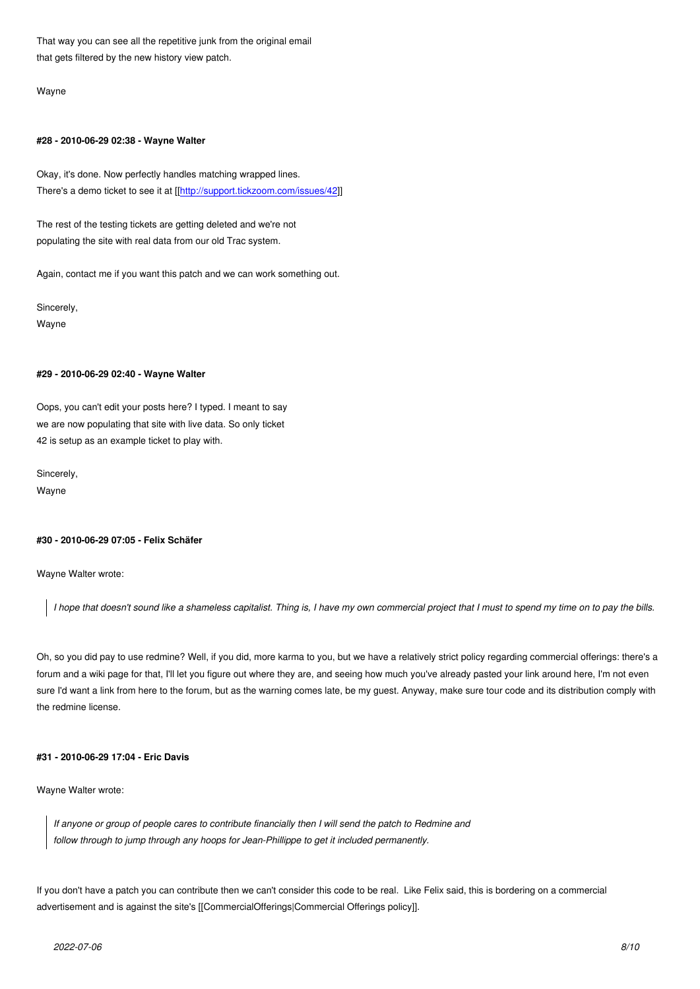that gets filtered by the new history view patch.

Wayne

#### **#28 - 2010-06-29 02:38 - Wayne Walter**

Okay, it's done. Now perfectly handles matching wrapped lines. There's a demo ticket to see it at [[http://support.tickzoom.com/issues/42]]

The rest of the testing tickets are getting deleted and we're not populating the site with real data f[rom our old Trac system.](http://support.tickzoom.com/issues/42)

Again, contact me if you want this patch and we can work something out.

Sincerely, Wayne

### **#29 - 2010-06-29 02:40 - Wayne Walter**

Oops, you can't edit your posts here? I typed. I meant to say we are now populating that site with live data. So only ticket 42 is setup as an example ticket to play with.

Sincerely,

Wayne

# **#30 - 2010-06-29 07:05 - Felix Schäfer**

Wayne Walter wrote:

*I hope that doesn't sound like a shameless capitalist. Thing is, I have my own commercial project that I must to spend my time on to pay the bills.*

Oh, so you did pay to use redmine? Well, if you did, more karma to you, but we have a relatively strict policy regarding commercial offerings: there's a forum and a wiki page for that, I'll let you figure out where they are, and seeing how much you've already pasted your link around here, I'm not even sure I'd want a link from here to the forum, but as the warning comes late, be my guest. Anyway, make sure tour code and its distribution comply with the redmine license.

### **#31 - 2010-06-29 17:04 - Eric Davis**

Wayne Walter wrote:

*If anyone or group of people cares to contribute financially then I will send the patch to Redmine and follow through to jump through any hoops for Jean-Phillippe to get it included permanently.*

If you don't have a patch you can contribute then we can't consider this code to be real. Like Felix said, this is bordering on a commercial advertisement and is against the site's [[CommercialOfferings|Commercial Offerings policy]].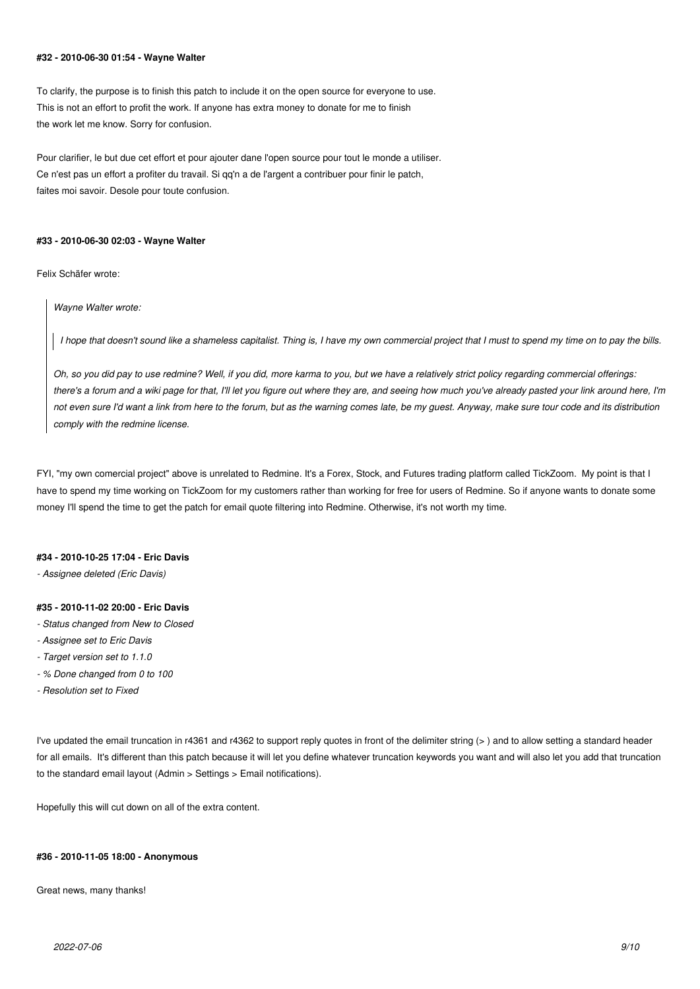#### **#32 - 2010-06-30 01:54 - Wayne Walter**

To clarify, the purpose is to finish this patch to include it on the open source for everyone to use. This is not an effort to profit the work. If anyone has extra money to donate for me to finish the work let me know. Sorry for confusion.

Pour clarifier, le but due cet effort et pour ajouter dane l'open source pour tout le monde a utiliser. Ce n'est pas un effort a profiter du travail. Si qq'n a de l'argent a contribuer pour finir le patch, faites moi savoir. Desole pour toute confusion.

#### **#33 - 2010-06-30 02:03 - Wayne Walter**

Felix Schäfer wrote:

*Wayne Walter wrote:*

*I hope that doesn't sound like a shameless capitalist. Thing is, I have my own commercial project that I must to spend my time on to pay the bills.*

*Oh, so you did pay to use redmine? Well, if you did, more karma to you, but we have a relatively strict policy regarding commercial offerings: there's a forum and a wiki page for that, I'll let you figure out where they are, and seeing how much you've already pasted your link around here, I'm not even sure I'd want a link from here to the forum, but as the warning comes late, be my guest. Anyway, make sure tour code and its distribution comply with the redmine license.*

FYI, "my own comercial project" above is unrelated to Redmine. It's a Forex, Stock, and Futures trading platform called TickZoom. My point is that I have to spend my time working on TickZoom for my customers rather than working for free for users of Redmine. So if anyone wants to donate some money I'll spend the time to get the patch for email quote filtering into Redmine. Otherwise, it's not worth my time.

### **#34 - 2010-10-25 17:04 - Eric Davis**

*- Assignee deleted (Eric Davis)*

#### **#35 - 2010-11-02 20:00 - Eric Davis**

- *Status changed from New to Closed*
- *Assignee set to Eric Davis*
- *Target version set to 1.1.0*
- *% Done changed from 0 to 100*
- *Resolution set to Fixed*

I've updated the email truncation in r4361 and r4362 to support reply quotes in front of the delimiter string (> ) and to allow setting a standard header for all emails. It's different than this patch because it will let you define whatever truncation keywords you want and will also let you add that truncation to the standard email layout (Admin > Settings > Email notifications).

Hopefully this will cut down on all of the extra content.

### **#36 - 2010-11-05 18:00 - Anonymous**

Great news, many thanks!